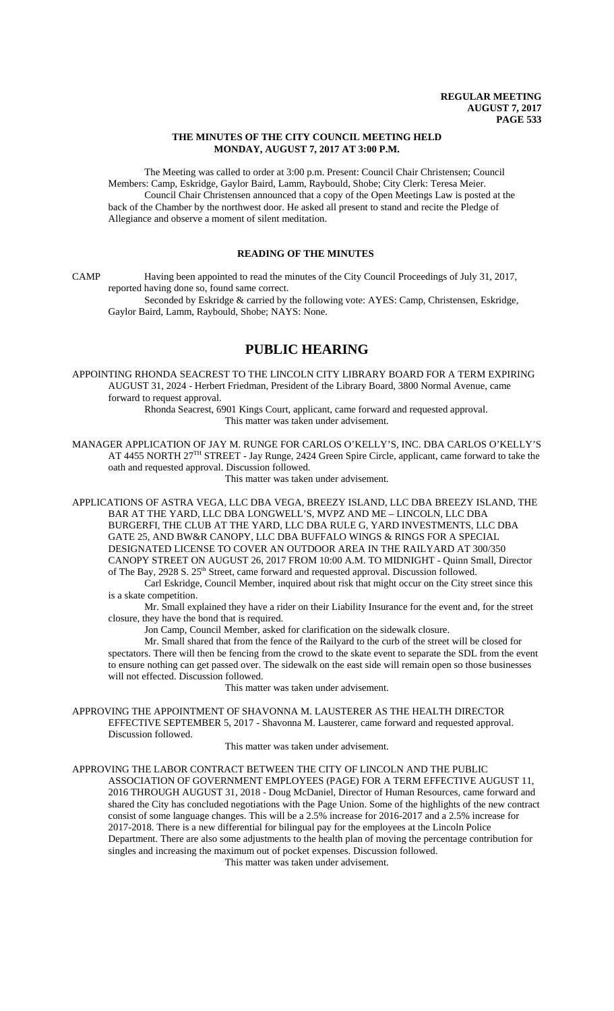### **THE MINUTES OF THE CITY COUNCIL MEETING HELD MONDAY, AUGUST 7, 2017 AT 3:00 P.M.**

The Meeting was called to order at 3:00 p.m. Present: Council Chair Christensen; Council Members: Camp, Eskridge, Gaylor Baird, Lamm, Raybould, Shobe; City Clerk: Teresa Meier. Council Chair Christensen announced that a copy of the Open Meetings Law is posted at the back of the Chamber by the northwest door. He asked all present to stand and recite the Pledge of Allegiance and observe a moment of silent meditation.

### **READING OF THE MINUTES**

CAMP Having been appointed to read the minutes of the City Council Proceedings of July 31, 2017, reported having done so, found same correct.

Seconded by Eskridge & carried by the following vote: AYES: Camp, Christensen, Eskridge, Gaylor Baird, Lamm, Raybould, Shobe; NAYS: None.

# **PUBLIC HEARING**

APPOINTING RHONDA SEACREST TO THE LINCOLN CITY LIBRARY BOARD FOR A TERM EXPIRING AUGUST 31, 2024 - Herbert Friedman, President of the Library Board, 3800 Normal Avenue, came forward to request approval.

Rhonda Seacrest, 6901 Kings Court, applicant, came forward and requested approval. This matter was taken under advisement.

MANAGER APPLICATION OF JAY M. RUNGE FOR CARLOS O'KELLY'S, INC. DBA CARLOS O'KELLY'S AT 4455 NORTH 27<sup>TH</sup> STREET - Jay Runge, 2424 Green Spire Circle, applicant, came forward to take the oath and requested approval. Discussion followed.

This matter was taken under advisement.

APPLICATIONS OF ASTRA VEGA, LLC DBA VEGA, BREEZY ISLAND, LLC DBA BREEZY ISLAND, THE BAR AT THE YARD, LLC DBA LONGWELL'S, MVPZ AND ME – LINCOLN, LLC DBA BURGERFI, THE CLUB AT THE YARD, LLC DBA RULE G, YARD INVESTMENTS, LLC DBA GATE 25, AND BW&R CANOPY, LLC DBA BUFFALO WINGS & RINGS FOR A SPECIAL DESIGNATED LICENSE TO COVER AN OUTDOOR AREA IN THE RAILYARD AT 300/350 CANOPY STREET ON AUGUST 26, 2017 FROM 10:00 A.M. TO MIDNIGHT - Quinn Small, Director of The Bay, 2928 S. 25<sup>th</sup> Street, came forward and requested approval. Discussion followed.

Carl Eskridge, Council Member, inquired about risk that might occur on the City street since this is a skate competition.

Mr. Small explained they have a rider on their Liability Insurance for the event and, for the street closure, they have the bond that is required.

Jon Camp, Council Member, asked for clarification on the sidewalk closure.

Mr. Small shared that from the fence of the Railyard to the curb of the street will be closed for spectators. There will then be fencing from the crowd to the skate event to separate the SDL from the event to ensure nothing can get passed over. The sidewalk on the east side will remain open so those businesses will not effected. Discussion followed.

This matter was taken under advisement.

APPROVING THE APPOINTMENT OF SHAVONNA M. LAUSTERER AS THE HEALTH DIRECTOR EFFECTIVE SEPTEMBER 5, 2017 - Shavonna M. Lausterer, came forward and requested approval. Discussion followed.

This matter was taken under advisement.

APPROVING THE LABOR CONTRACT BETWEEN THE CITY OF LINCOLN AND THE PUBLIC ASSOCIATION OF GOVERNMENT EMPLOYEES (PAGE) FOR A TERM EFFECTIVE AUGUST 11, 2016 THROUGH AUGUST 31, 2018 - Doug McDaniel, Director of Human Resources, came forward and shared the City has concluded negotiations with the Page Union. Some of the highlights of the new contract consist of some language changes. This will be a 2.5% increase for 2016-2017 and a 2.5% increase for 2017-2018. There is a new differential for bilingual pay for the employees at the Lincoln Police Department. There are also some adjustments to the health plan of moving the percentage contribution for singles and increasing the maximum out of pocket expenses. Discussion followed.

This matter was taken under advisement.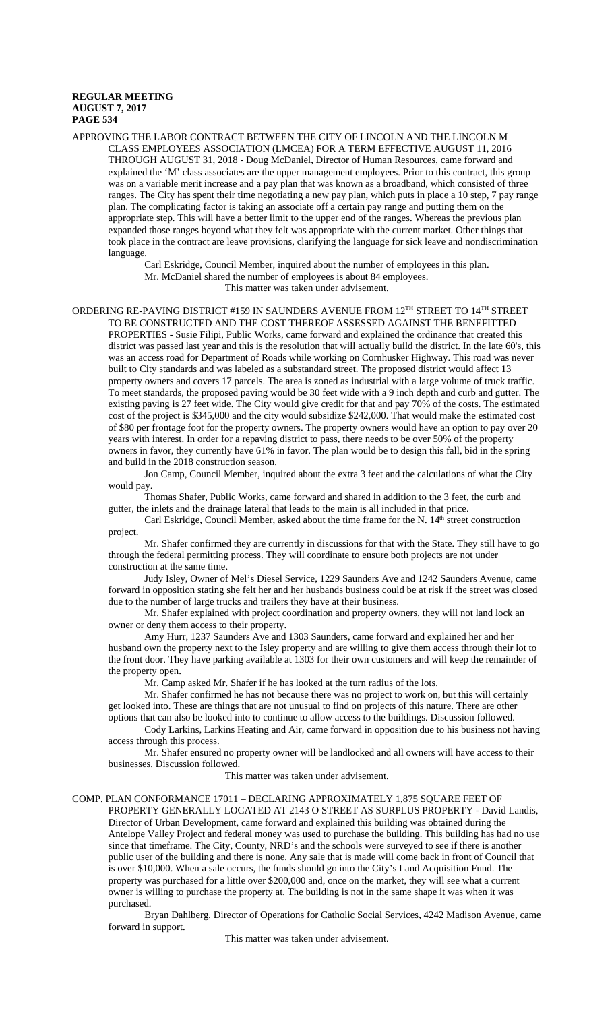APPROVING THE LABOR CONTRACT BETWEEN THE CITY OF LINCOLN AND THE LINCOLN M CLASS EMPLOYEES ASSOCIATION (LMCEA) FOR A TERM EFFECTIVE AUGUST 11, 2016 THROUGH AUGUST 31, 2018 - Doug McDaniel, Director of Human Resources, came forward and explained the 'M' class associates are the upper management employees. Prior to this contract, this group was on a variable merit increase and a pay plan that was known as a broadband, which consisted of three ranges. The City has spent their time negotiating a new pay plan, which puts in place a 10 step, 7 pay range plan. The complicating factor is taking an associate off a certain pay range and putting them on the appropriate step. This will have a better limit to the upper end of the ranges. Whereas the previous plan expanded those ranges beyond what they felt was appropriate with the current market. Other things that took place in the contract are leave provisions, clarifying the language for sick leave and nondiscrimination language.

Carl Eskridge, Council Member, inquired about the number of employees in this plan. Mr. McDaniel shared the number of employees is about 84 employees. This matter was taken under advisement.

ORDERING RE-PAVING DISTRICT #159 IN SAUNDERS AVENUE FROM 12TH STREET TO 14TH STREET TO BE CONSTRUCTED AND THE COST THEREOF ASSESSED AGAINST THE BENEFITTED PROPERTIES - Susie Filipi, Public Works, came forward and explained the ordinance that created this district was passed last year and this is the resolution that will actually build the district. In the late 60's, this was an access road for Department of Roads while working on Cornhusker Highway. This road was never built to City standards and was labeled as a substandard street. The proposed district would affect 13 property owners and covers 17 parcels. The area is zoned as industrial with a large volume of truck traffic. To meet standards, the proposed paving would be 30 feet wide with a 9 inch depth and curb and gutter. The existing paving is 27 feet wide. The City would give credit for that and pay 70% of the costs. The estimated cost of the project is \$345,000 and the city would subsidize \$242,000. That would make the estimated cost of \$80 per frontage foot for the property owners. The property owners would have an option to pay over 20 years with interest. In order for a repaving district to pass, there needs to be over 50% of the property owners in favor, they currently have 61% in favor. The plan would be to design this fall, bid in the spring and build in the 2018 construction season.

Jon Camp, Council Member, inquired about the extra 3 feet and the calculations of what the City would pay.

Thomas Shafer, Public Works, came forward and shared in addition to the 3 feet, the curb and gutter, the inlets and the drainage lateral that leads to the main is all included in that price.

Carl Eskridge, Council Member, asked about the time frame for the N. 14<sup>th</sup> street construction project.

Mr. Shafer confirmed they are currently in discussions for that with the State. They still have to go through the federal permitting process. They will coordinate to ensure both projects are not under construction at the same time.

Judy Isley, Owner of Mel's Diesel Service, 1229 Saunders Ave and 1242 Saunders Avenue, came forward in opposition stating she felt her and her husbands business could be at risk if the street was closed due to the number of large trucks and trailers they have at their business.

Mr. Shafer explained with project coordination and property owners, they will not land lock an owner or deny them access to their property.

Amy Hurr, 1237 Saunders Ave and 1303 Saunders, came forward and explained her and her husband own the property next to the Isley property and are willing to give them access through their lot to the front door. They have parking available at 1303 for their own customers and will keep the remainder of the property open.

Mr. Camp asked Mr. Shafer if he has looked at the turn radius of the lots.

Mr. Shafer confirmed he has not because there was no project to work on, but this will certainly get looked into. These are things that are not unusual to find on projects of this nature. There are other options that can also be looked into to continue to allow access to the buildings. Discussion followed.

Cody Larkins, Larkins Heating and Air, came forward in opposition due to his business not having access through this process.

Mr. Shafer ensured no property owner will be landlocked and all owners will have access to their businesses. Discussion followed.

This matter was taken under advisement.

### COMP. PLAN CONFORMANCE 17011 – DECLARING APPROXIMATELY 1,875 SQUARE FEET OF

PROPERTY GENERALLY LOCATED AT 2143 O STREET AS SURPLUS PROPERTY - David Landis, Director of Urban Development, came forward and explained this building was obtained during the Antelope Valley Project and federal money was used to purchase the building. This building has had no use since that timeframe. The City, County, NRD's and the schools were surveyed to see if there is another public user of the building and there is none. Any sale that is made will come back in front of Council that is over \$10,000. When a sale occurs, the funds should go into the City's Land Acquisition Fund. The property was purchased for a little over \$200,000 and, once on the market, they will see what a current owner is willing to purchase the property at. The building is not in the same shape it was when it was purchased.

Bryan Dahlberg, Director of Operations for Catholic Social Services, 4242 Madison Avenue, came forward in support.

This matter was taken under advisement.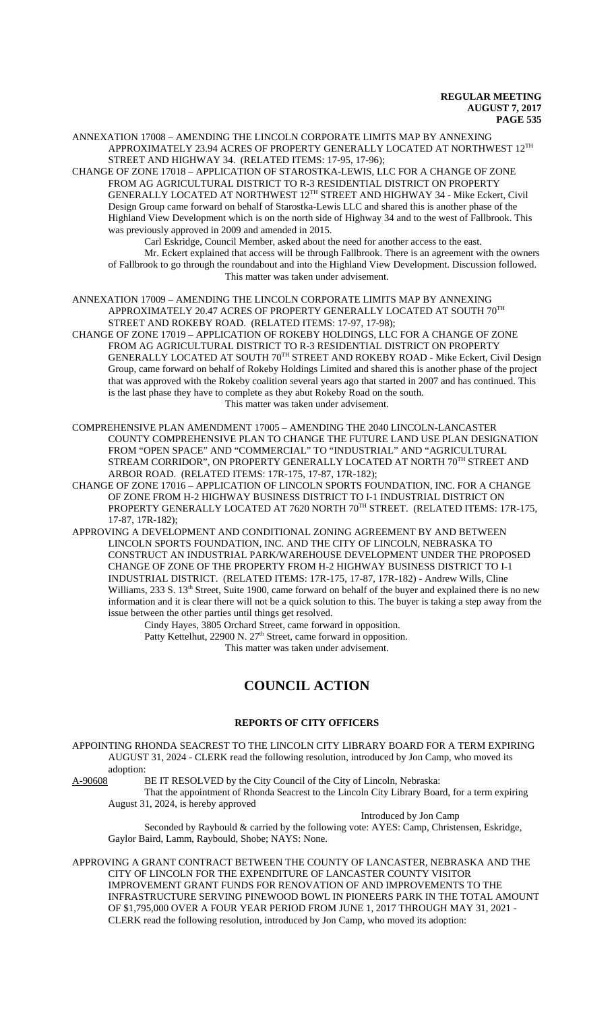ANNEXATION 17008 – AMENDING THE LINCOLN CORPORATE LIMITS MAP BY ANNEXING APPROXIMATELY 23.94 ACRES OF PROPERTY GENERALLY LOCATED AT NORTHWEST 12TH STREET AND HIGHWAY 34. (RELATED ITEMS: 17-95, 17-96);

CHANGE OF ZONE 17018 – APPLICATION OF STAROSTKA-LEWIS, LLC FOR A CHANGE OF ZONE FROM AG AGRICULTURAL DISTRICT TO R-3 RESIDENTIAL DISTRICT ON PROPERTY GENERALLY LOCATED AT NORTHWEST 12TH STREET AND HIGHWAY 34 - Mike Eckert, Civil Design Group came forward on behalf of Starostka-Lewis LLC and shared this is another phase of the Highland View Development which is on the north side of Highway 34 and to the west of Fallbrook. This was previously approved in 2009 and amended in 2015.

Carl Eskridge, Council Member, asked about the need for another access to the east. Mr. Eckert explained that access will be through Fallbrook. There is an agreement with the owners of Fallbrook to go through the roundabout and into the Highland View Development. Discussion followed. This matter was taken under advisement.

ANNEXATION 17009 – AMENDING THE LINCOLN CORPORATE LIMITS MAP BY ANNEXING APPROXIMATELY 20.47 ACRES OF PROPERTY GENERALLY LOCATED AT SOUTH 70TH STREET AND ROKEBY ROAD. (RELATED ITEMS: 17-97, 17-98);

CHANGE OF ZONE 17019 – APPLICATION OF ROKEBY HOLDINGS, LLC FOR A CHANGE OF ZONE FROM AG AGRICULTURAL DISTRICT TO R-3 RESIDENTIAL DISTRICT ON PROPERTY GENERALLY LOCATED AT SOUTH 70TH STREET AND ROKEBY ROAD - Mike Eckert, Civil Design Group, came forward on behalf of Rokeby Holdings Limited and shared this is another phase of the project that was approved with the Rokeby coalition several years ago that started in 2007 and has continued. This is the last phase they have to complete as they abut Rokeby Road on the south. This matter was taken under advisement.

COMPREHENSIVE PLAN AMENDMENT 17005 – AMENDING THE 2040 LINCOLN-LANCASTER COUNTY COMPREHENSIVE PLAN TO CHANGE THE FUTURE LAND USE PLAN DESIGNATION FROM "OPEN SPACE" AND "COMMERCIAL" TO "INDUSTRIAL" AND "AGRICULTURAL STREAM CORRIDOR", ON PROPERTY GENERALLY LOCATED AT NORTH 70TH STREET AND ARBOR ROAD. (RELATED ITEMS: 17R-175, 17-87, 17R-182);

CHANGE OF ZONE 17016 – APPLICATION OF LINCOLN SPORTS FOUNDATION, INC. FOR A CHANGE OF ZONE FROM H-2 HIGHWAY BUSINESS DISTRICT TO I-1 INDUSTRIAL DISTRICT ON PROPERTY GENERALLY LOCATED AT 7620 NORTH 70TH STREET. (RELATED ITEMS: 17R-175, 17-87, 17R-182);

APPROVING A DEVELOPMENT AND CONDITIONAL ZONING AGREEMENT BY AND BETWEEN LINCOLN SPORTS FOUNDATION, INC. AND THE CITY OF LINCOLN, NEBRASKA TO CONSTRUCT AN INDUSTRIAL PARK/WAREHOUSE DEVELOPMENT UNDER THE PROPOSED CHANGE OF ZONE OF THE PROPERTY FROM H-2 HIGHWAY BUSINESS DISTRICT TO I-1 INDUSTRIAL DISTRICT. (RELATED ITEMS: 17R-175, 17-87, 17R-182) - Andrew Wills, Cline Williams, 233 S.  $13<sup>th</sup>$  Street, Suite 1900, came forward on behalf of the buyer and explained there is no new information and it is clear there will not be a quick solution to this. The buyer is taking a step away from the issue between the other parties until things get resolved.

Cindy Hayes, 3805 Orchard Street, came forward in opposition.

Patty Kettelhut, 22900 N. 27<sup>th</sup> Street, came forward in opposition. This matter was taken under advisement.

# **COUNCIL ACTION**

# **REPORTS OF CITY OFFICERS**

APPOINTING RHONDA SEACREST TO THE LINCOLN CITY LIBRARY BOARD FOR A TERM EXPIRING AUGUST 31, 2024 - CLERK read the following resolution, introduced by Jon Camp, who moved its  $\frac{\text{adoption:}}{\text{A-90608}}$ 

BE IT RESOLVED by the City Council of the City of Lincoln, Nebraska:

That the appointment of Rhonda Seacrest to the Lincoln City Library Board, for a term expiring August 31, 2024, is hereby approved

Introduced by Jon Camp

Seconded by Raybould & carried by the following vote: AYES: Camp, Christensen, Eskridge, Gaylor Baird, Lamm, Raybould, Shobe; NAYS: None.

APPROVING A GRANT CONTRACT BETWEEN THE COUNTY OF LANCASTER, NEBRASKA AND THE CITY OF LINCOLN FOR THE EXPENDITURE OF LANCASTER COUNTY VISITOR IMPROVEMENT GRANT FUNDS FOR RENOVATION OF AND IMPROVEMENTS TO THE INFRASTRUCTURE SERVING PINEWOOD BOWL IN PIONEERS PARK IN THE TOTAL AMOUNT OF \$1,795,000 OVER A FOUR YEAR PERIOD FROM JUNE 1, 2017 THROUGH MAY 31, 2021 - CLERK read the following resolution, introduced by Jon Camp, who moved its adoption: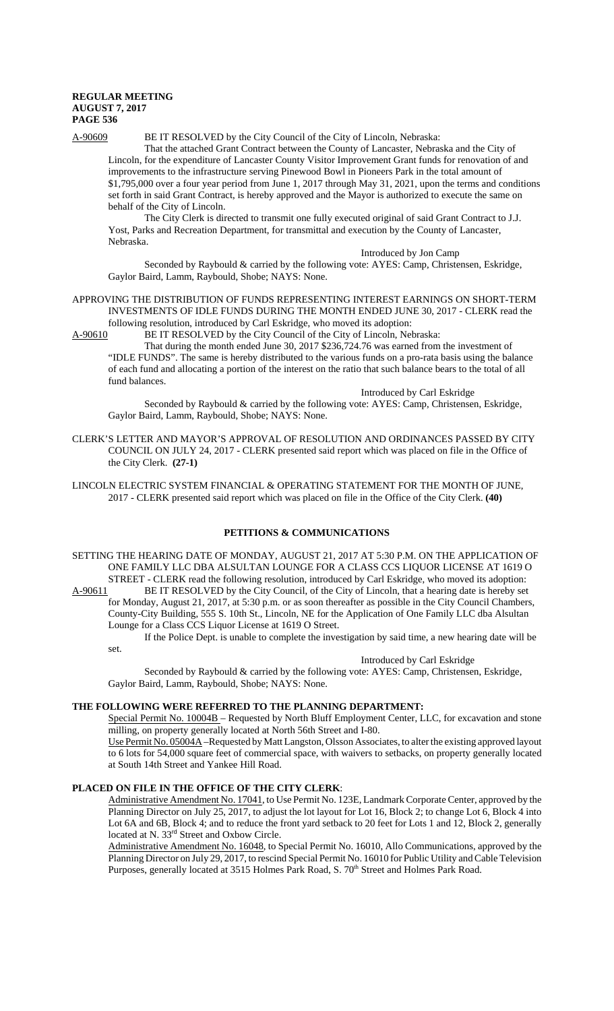# A-90609 BE IT RESOLVED by the City Council of the City of Lincoln, Nebraska:

That the attached Grant Contract between the County of Lancaster, Nebraska and the City of Lincoln, for the expenditure of Lancaster County Visitor Improvement Grant funds for renovation of and improvements to the infrastructure serving Pinewood Bowl in Pioneers Park in the total amount of \$1,795,000 over a four year period from June 1, 2017 through May 31, 2021, upon the terms and conditions set forth in said Grant Contract, is hereby approved and the Mayor is authorized to execute the same on behalf of the City of Lincoln.

The City Clerk is directed to transmit one fully executed original of said Grant Contract to J.J. Yost, Parks and Recreation Department, for transmittal and execution by the County of Lancaster, Nebraska.

Introduced by Jon Camp

Seconded by Raybould & carried by the following vote: AYES: Camp, Christensen, Eskridge, Gaylor Baird, Lamm, Raybould, Shobe; NAYS: None.

#### APPROVING THE DISTRIBUTION OF FUNDS REPRESENTING INTEREST EARNINGS ON SHORT-TERM INVESTMENTS OF IDLE FUNDS DURING THE MONTH ENDED JUNE 30, 2017 - CLERK read the following resolution, introduced by Carl Eskridge, who moved its adoption:

A-90610 BE IT RESOLVED by the City Council of the City of Lincoln, Nebraska:

That during the month ended June 30, 2017 \$236,724.76 was earned from the investment of "IDLE FUNDS". The same is hereby distributed to the various funds on a pro-rata basis using the balance of each fund and allocating a portion of the interest on the ratio that such balance bears to the total of all fund balances.

# Introduced by Carl Eskridge

Seconded by Raybould & carried by the following vote: AYES: Camp, Christensen, Eskridge, Gaylor Baird, Lamm, Raybould, Shobe; NAYS: None.

CLERK'S LETTER AND MAYOR'S APPROVAL OF RESOLUTION AND ORDINANCES PASSED BY CITY COUNCIL ON JULY 24, 2017 - CLERK presented said report which was placed on file in the Office of the City Clerk. **(27-1)**

LINCOLN ELECTRIC SYSTEM FINANCIAL & OPERATING STATEMENT FOR THE MONTH OF JUNE, 2017 - CLERK presented said report which was placed on file in the Office of the City Clerk. **(40)**

### **PETITIONS & COMMUNICATIONS**

SETTING THE HEARING DATE OF MONDAY, AUGUST 21, 2017 AT 5:30 P.M. ON THE APPLICATION OF ONE FAMILY LLC DBA ALSULTAN LOUNGE FOR A CLASS CCS LIQUOR LICENSE AT 1619 O STREET - CLERK read the following resolution, introduced by Carl Eskridge, who moved its adoption:<br>A-90611 BE IT RESOLVED by the City Council, of the City of Lincoln, that a hearing date is hereby set BE IT RESOLVED by the City Council, of the City of Lincoln, that a hearing date is hereby set

for Monday, August 21, 2017, at 5:30 p.m. or as soon thereafter as possible in the City Council Chambers, County-City Building, 555 S. 10th St., Lincoln, NE for the Application of One Family LLC dba Alsultan Lounge for a Class CCS Liquor License at 1619 O Street.

If the Police Dept. is unable to complete the investigation by said time, a new hearing date will be set.

#### Introduced by Carl Eskridge

Seconded by Raybould & carried by the following vote: AYES: Camp, Christensen, Eskridge, Gaylor Baird, Lamm, Raybould, Shobe; NAYS: None.

### **THE FOLLOWING WERE REFERRED TO THE PLANNING DEPARTMENT:**

Special Permit No. 10004B – Requested by North Bluff Employment Center, LLC, for excavation and stone milling, on property generally located at North 56th Street and I-80.

Use Permit No. 05004A –Requested by Matt Langston, Olsson Associates, to alter the existing approved layout to 6 lots for 54,000 square feet of commercial space, with waivers to setbacks, on property generally located at South 14th Street and Yankee Hill Road.

### **PLACED ON FILE IN THE OFFICE OF THE CITY CLERK**:

Administrative Amendment No. 17041, to Use Permit No. 123E, Landmark Corporate Center, approved by the Planning Director on July 25, 2017, to adjust the lot layout for Lot 16, Block 2; to change Lot 6, Block 4 into Lot 6A and 6B, Block 4; and to reduce the front yard setback to 20 feet for Lots 1 and 12, Block 2, generally located at N. 33<sup>rd</sup> Street and Oxbow Circle.

Administrative Amendment No. 16048, to Special Permit No. 16010, Allo Communications, approved by the Planning Director on July 29, 2017, to rescind Special Permit No. 16010 for Public Utility and Cable Television Purposes, generally located at 3515 Holmes Park Road, S. 70<sup>th</sup> Street and Holmes Park Road.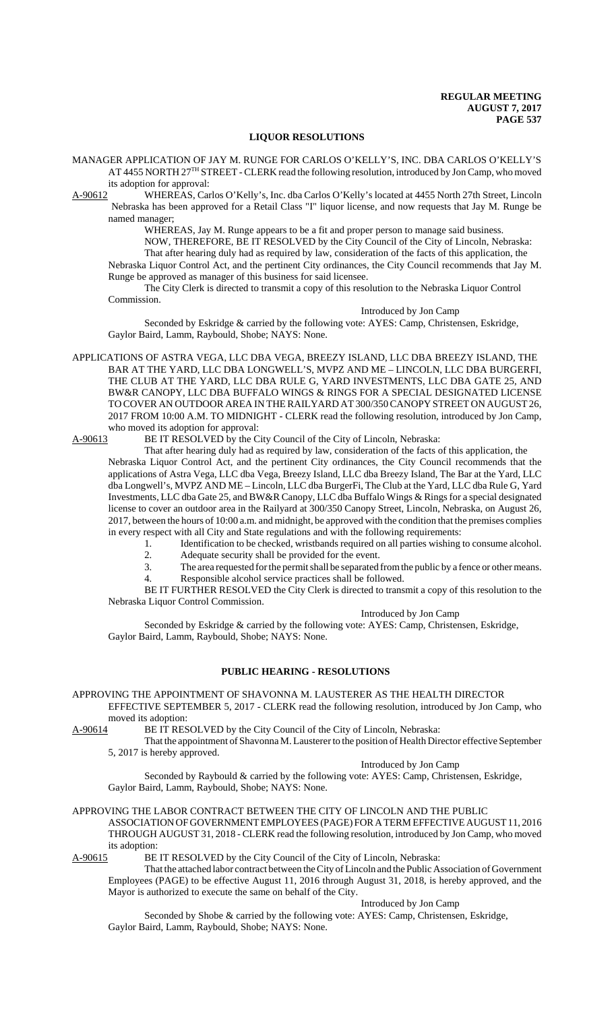### **LIQUOR RESOLUTIONS**

MANAGER APPLICATION OF JAY M. RUNGE FOR CARLOS O'KELLY'S, INC. DBA CARLOS O'KELLY'S AT 4455 NORTH 27<sup>TH</sup> STREET - CLERK read the following resolution, introduced by Jon Camp, who moved its adoption for approval:

A-90612 WHEREAS, Carlos O'Kelly's, Inc. dba Carlos O'Kelly's located at 4455 North 27th Street, Lincoln Nebraska has been approved for a Retail Class "I" liquor license, and now requests that Jay M. Runge be named manager;

> WHEREAS, Jay M. Runge appears to be a fit and proper person to manage said business. NOW, THEREFORE, BE IT RESOLVED by the City Council of the City of Lincoln, Nebraska: That after hearing duly had as required by law, consideration of the facts of this application, the

Nebraska Liquor Control Act, and the pertinent City ordinances, the City Council recommends that Jay M. Runge be approved as manager of this business for said licensee.

The City Clerk is directed to transmit a copy of this resolution to the Nebraska Liquor Control Commission.

#### Introduced by Jon Camp

Seconded by Eskridge & carried by the following vote: AYES: Camp, Christensen, Eskridge, Gaylor Baird, Lamm, Raybould, Shobe; NAYS: None.

APPLICATIONS OF ASTRA VEGA, LLC DBA VEGA, BREEZY ISLAND, LLC DBA BREEZY ISLAND, THE BAR AT THE YARD, LLC DBA LONGWELL'S, MVPZ AND ME – LINCOLN, LLC DBA BURGERFI, THE CLUB AT THE YARD, LLC DBA RULE G, YARD INVESTMENTS, LLC DBA GATE 25, AND BW&R CANOPY, LLC DBA BUFFALO WINGS & RINGS FOR A SPECIAL DESIGNATED LICENSE TO COVER AN OUTDOOR AREA IN THE RAILYARD AT 300/350 CANOPY STREET ON AUGUST 26, 2017 FROM 10:00 A.M. TO MIDNIGHT - CLERK read the following resolution, introduced by Jon Camp, who moved its adoption for approval:<br>A-90613 BE IT RESOLVED by the C

BE IT RESOLVED by the City Council of the City of Lincoln, Nebraska:

That after hearing duly had as required by law, consideration of the facts of this application, the Nebraska Liquor Control Act, and the pertinent City ordinances, the City Council recommends that the applications of Astra Vega, LLC dba Vega, Breezy Island, LLC dba Breezy Island, The Bar at the Yard, LLC dba Longwell's, MVPZ AND ME – Lincoln, LLC dba BurgerFi, The Club at the Yard, LLC dba Rule G, Yard Investments, LLC dba Gate 25, and BW&R Canopy, LLC dba Buffalo Wings & Rings for a special designated license to cover an outdoor area in the Railyard at 300/350 Canopy Street, Lincoln, Nebraska, on August 26, 2017, between the hours of 10:00 a.m. and midnight, be approved with the condition that the premises complies in every respect with all City and State regulations and with the following requirements:

- 1. Identification to be checked, wristbands required on all parties wishing to consume alcohol.
	- 2. Adequate security shall be provided for the event.
	- 3. The area requested for the permit shall be separated from the public by a fence or other means.
	- 4. Responsible alcohol service practices shall be followed.

BE IT FURTHER RESOLVED the City Clerk is directed to transmit a copy of this resolution to the Nebraska Liquor Control Commission.

#### Introduced by Jon Camp

Seconded by Eskridge & carried by the following vote: AYES: Camp, Christensen, Eskridge, Gaylor Baird, Lamm, Raybould, Shobe; NAYS: None.

# **PUBLIC HEARING - RESOLUTIONS**

APPROVING THE APPOINTMENT OF SHAVONNA M. LAUSTERER AS THE HEALTH DIRECTOR

EFFECTIVE SEPTEMBER 5, 2017 - CLERK read the following resolution, introduced by Jon Camp, who moved its adoption:

A-90614 BE IT RESOLVED by the City Council of the City of Lincoln, Nebraska:

That the appointment of Shavonna M. Lausterer to the position of Health Director effective September 5, 2017 is hereby approved.

Introduced by Jon Camp

Seconded by Raybould & carried by the following vote: AYES: Camp, Christensen, Eskridge, Gaylor Baird, Lamm, Raybould, Shobe; NAYS: None.

### APPROVING THE LABOR CONTRACT BETWEEN THE CITY OF LINCOLN AND THE PUBLIC

ASSOCIATION OF GOVERNMENT EMPLOYEES (PAGE) FOR A TERM EFFECTIVE AUGUST 11, 2016 THROUGH AUGUST 31, 2018 - CLERK read the following resolution, introduced by Jon Camp, who moved its adoption:<br>A-90615 BE

BE IT RESOLVED by the City Council of the City of Lincoln, Nebraska:

That the attached labor contract between the City of Lincoln and the Public Association of Government Employees (PAGE) to be effective August 11, 2016 through August 31, 2018, is hereby approved, and the Mayor is authorized to execute the same on behalf of the City.

Introduced by Jon Camp

Seconded by Shobe & carried by the following vote: AYES: Camp, Christensen, Eskridge, Gaylor Baird, Lamm, Raybould, Shobe; NAYS: None.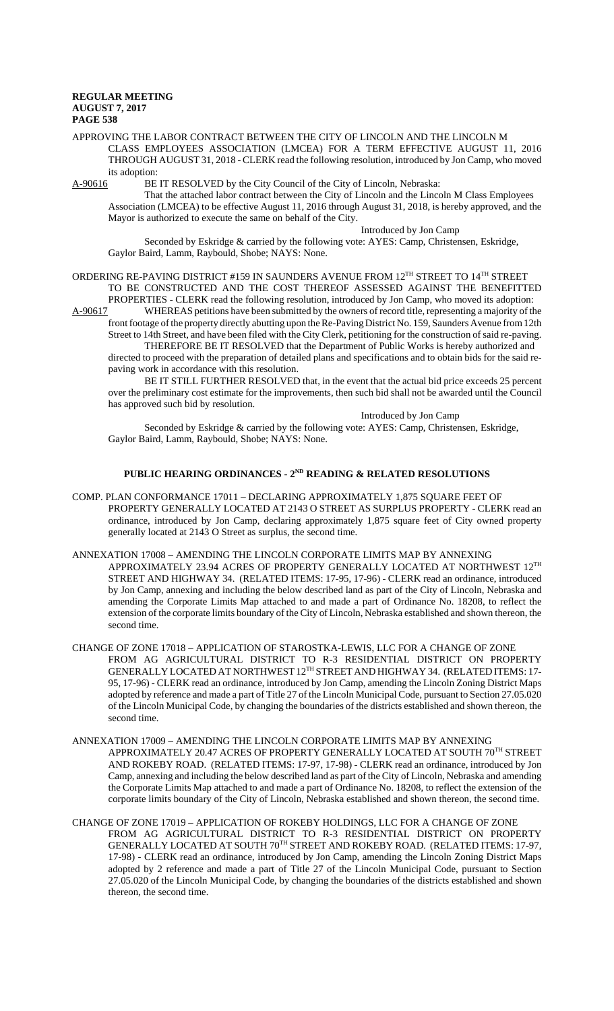APPROVING THE LABOR CONTRACT BETWEEN THE CITY OF LINCOLN AND THE LINCOLN M CLASS EMPLOYEES ASSOCIATION (LMCEA) FOR A TERM EFFECTIVE AUGUST 11, 2016 THROUGH AUGUST 31, 2018 - CLERK read the following resolution, introduced by Jon Camp, who moved its adoption:<br>A-90616 BE

BE IT RESOLVED by the City Council of the City of Lincoln, Nebraska:

That the attached labor contract between the City of Lincoln and the Lincoln M Class Employees Association (LMCEA) to be effective August 11, 2016 through August 31, 2018, is hereby approved, and the Mayor is authorized to execute the same on behalf of the City.

Introduced by Jon Camp

Seconded by Eskridge & carried by the following vote: AYES: Camp, Christensen, Eskridge, Gaylor Baird, Lamm, Raybould, Shobe; NAYS: None.

ORDERING RE-PAVING DISTRICT #159 IN SAUNDERS AVENUE FROM  $12^{TH}$  STREET TO  $14^{TH}$  STREET TO BE CONSTRUCTED AND THE COST THEREOF ASSESSED AGAINST THE BENEFITTED

PROPERTIES - CLERK read the following resolution, introduced by Jon Camp, who moved its adoption:<br>A-90617 WHEREAS petitions have been submitted by the owners of record title, representing a majority of th WHEREAS petitions have been submitted by the owners of record title, representing a majority of the front footage of the property directly abutting upon the Re-Paving District No. 159, Saunders Avenue from 12th Street to 14th Street, and have been filed with the City Clerk, petitioning for the construction of said re-paving.

THEREFORE BE IT RESOLVED that the Department of Public Works is hereby authorized and directed to proceed with the preparation of detailed plans and specifications and to obtain bids for the said repaving work in accordance with this resolution.

BE IT STILL FURTHER RESOLVED that, in the event that the actual bid price exceeds 25 percent over the preliminary cost estimate for the improvements, then such bid shall not be awarded until the Council has approved such bid by resolution.

Introduced by Jon Camp

Seconded by Eskridge & carried by the following vote: AYES: Camp, Christensen, Eskridge, Gaylor Baird, Lamm, Raybould, Shobe; NAYS: None.

# PUBLIC HEARING ORDINANCES - 2<sup>ND</sup> READING & RELATED RESOLUTIONS

- COMP. PLAN CONFORMANCE 17011 DECLARING APPROXIMATELY 1,875 SQUARE FEET OF PROPERTY GENERALLY LOCATED AT 2143 O STREET AS SURPLUS PROPERTY - CLERK read an ordinance, introduced by Jon Camp, declaring approximately 1,875 square feet of City owned property generally located at 2143 O Street as surplus, the second time.
- ANNEXATION 17008 AMENDING THE LINCOLN CORPORATE LIMITS MAP BY ANNEXING APPROXIMATELY 23.94 ACRES OF PROPERTY GENERALLY LOCATED AT NORTHWEST 12TH STREET AND HIGHWAY 34. (RELATED ITEMS: 17-95, 17-96) - CLERK read an ordinance, introduced by Jon Camp, annexing and including the below described land as part of the City of Lincoln, Nebraska and amending the Corporate Limits Map attached to and made a part of Ordinance No. 18208, to reflect the extension of the corporate limits boundary of the City of Lincoln, Nebraska established and shown thereon, the second time.
- CHANGE OF ZONE 17018 APPLICATION OF STAROSTKA-LEWIS, LLC FOR A CHANGE OF ZONE FROM AG AGRICULTURAL DISTRICT TO R-3 RESIDENTIAL DISTRICT ON PROPERTY GENERALLY LOCATED AT NORTHWEST 12TH STREET AND HIGHWAY 34. (RELATED ITEMS: 17-95, 17-96) - CLERK read an ordinance, introduced by Jon Camp, amending the Lincoln Zoning District Maps adopted by reference and made a part of Title 27 of the Lincoln Municipal Code, pursuant to Section 27.05.020 of the Lincoln Municipal Code, by changing the boundaries of the districts established and shown thereon, the second time.
- ANNEXATION 17009 AMENDING THE LINCOLN CORPORATE LIMITS MAP BY ANNEXING APPROXIMATELY 20.47 ACRES OF PROPERTY GENERALLY LOCATED AT SOUTH 70TH STREET AND ROKEBY ROAD. (RELATED ITEMS: 17-97, 17-98) - CLERK read an ordinance, introduced by Jon Camp, annexing and including the below described land as part of the City of Lincoln, Nebraska and amending the Corporate Limits Map attached to and made a part of Ordinance No. 18208, to reflect the extension of the corporate limits boundary of the City of Lincoln, Nebraska established and shown thereon, the second time.
- CHANGE OF ZONE 17019 APPLICATION OF ROKEBY HOLDINGS, LLC FOR A CHANGE OF ZONE FROM AG AGRICULTURAL DISTRICT TO R-3 RESIDENTIAL DISTRICT ON PROPERTY GENERALLY LOCATED AT SOUTH 70TH STREET AND ROKEBY ROAD. (RELATED ITEMS: 17-97, 17-98) - CLERK read an ordinance, introduced by Jon Camp, amending the Lincoln Zoning District Maps adopted by 2 reference and made a part of Title 27 of the Lincoln Municipal Code, pursuant to Section 27.05.020 of the Lincoln Municipal Code, by changing the boundaries of the districts established and shown thereon, the second time.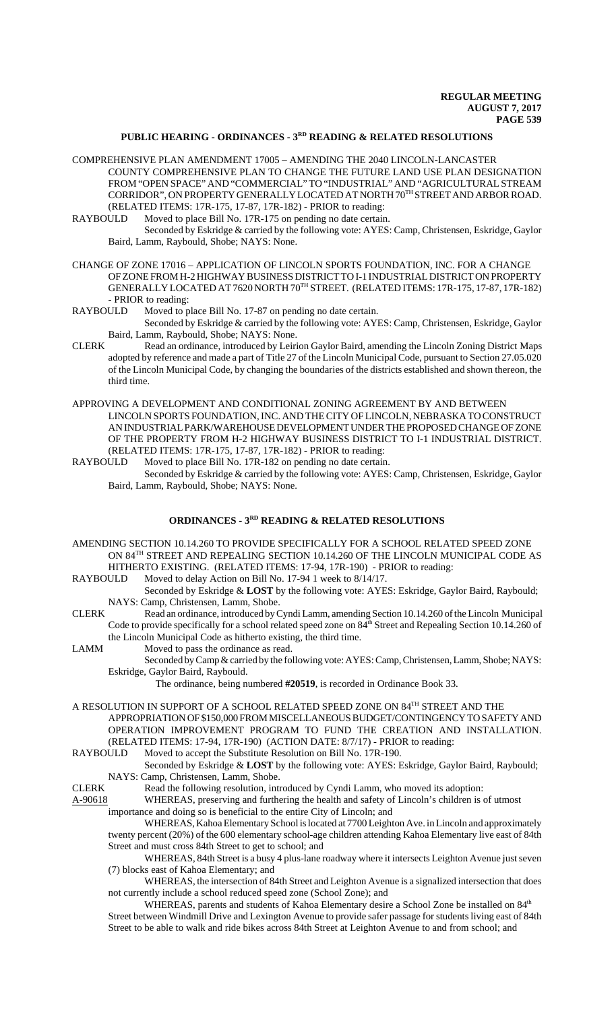# PUBLIC HEARING - ORDINANCES - 3<sup>RD</sup> READING & RELATED RESOLUTIONS

- COMPREHENSIVE PLAN AMENDMENT 17005 AMENDING THE 2040 LINCOLN-LANCASTER COUNTY COMPREHENSIVE PLAN TO CHANGE THE FUTURE LAND USE PLAN DESIGNATION FROM "OPEN SPACE" AND "COMMERCIAL" TO "INDUSTRIAL" AND "AGRICULTURAL STREAM CORRIDOR", ON PROPERTY GENERALLY LOCATED AT NORTH 70TH STREET AND ARBOR ROAD. (RELATED ITEMS: 17R-175, 17-87, 17R-182) - PRIOR to reading:
- RAYBOULD Moved to place Bill No. 17R-175 on pending no date certain.
	- Seconded by Eskridge & carried by the following vote: AYES: Camp, Christensen, Eskridge, Gaylor Baird, Lamm, Raybould, Shobe; NAYS: None.
- CHANGE OF ZONE 17016 APPLICATION OF LINCOLN SPORTS FOUNDATION, INC. FOR A CHANGE OF ZONE FROM H-2 HIGHWAY BUSINESS DISTRICT TO I-1 INDUSTRIAL DISTRICT ON PROPERTY GENERALLY LOCATED AT 7620 NORTH 70TH STREET. (RELATED ITEMS: 17R-175, 17-87, 17R-182) - PRIOR to reading:<br>RAYBOULD Moved to n
- Moved to place Bill No. 17-87 on pending no date certain.
	- Seconded by Eskridge & carried by the following vote: AYES: Camp, Christensen, Eskridge, Gaylor Baird, Lamm, Raybould, Shobe; NAYS: None.
- CLERK Read an ordinance, introduced by Leirion Gaylor Baird, amending the Lincoln Zoning District Maps adopted by reference and made a part of Title 27 of the Lincoln Municipal Code, pursuant to Section 27.05.020 of the Lincoln Municipal Code, by changing the boundaries of the districts established and shown thereon, the third time.
- APPROVING A DEVELOPMENT AND CONDITIONAL ZONING AGREEMENT BY AND BETWEEN LINCOLN SPORTS FOUNDATION, INC. AND THE CITY OF LINCOLN, NEBRASKA TO CONSTRUCT AN INDUSTRIAL PARK/WAREHOUSE DEVELOPMENT UNDER THE PROPOSED CHANGE OF ZONE OF THE PROPERTY FROM H-2 HIGHWAY BUSINESS DISTRICT TO I-1 INDUSTRIAL DISTRICT. (RELATED ITEMS: 17R-175, 17-87, 17R-182) - PRIOR to reading:
- RAYBOULD Moved to place Bill No. 17R-182 on pending no date certain.
	- Seconded by Eskridge & carried by the following vote: AYES: Camp, Christensen, Eskridge, Gaylor Baird, Lamm, Raybould, Shobe; NAYS: None.

# **ORDINANCES - 3RD READING & RELATED RESOLUTIONS**

- AMENDING SECTION 10.14.260 TO PROVIDE SPECIFICALLY FOR A SCHOOL RELATED SPEED ZONE ON 84TH STREET AND REPEALING SECTION 10.14.260 OF THE LINCOLN MUNICIPAL CODE AS HITHERTO EXISTING. (RELATED ITEMS: 17-94, 17R-190) - PRIOR to reading:
- RAYBOULD Moved to delay Action on Bill No. 17-94 1 week to 8/14/17.
	- Seconded by Eskridge & **LOST** by the following vote: AYES: Eskridge, Gaylor Baird, Raybould; NAYS: Camp, Christensen, Lamm, Shobe.
- CLERK Read an ordinance, introduced by Cyndi Lamm, amending Section 10.14.260 of the Lincoln Municipal Code to provide specifically for a school related speed zone on 84<sup>th</sup> Street and Repealing Section 10.14.260 of the Lincoln Municipal Code as hitherto existing, the third time.
- LAMM Moved to pass the ordinance as read.

Seconded by Camp & carried by the following vote: AYES: Camp, Christensen, Lamm, Shobe; NAYS: Eskridge, Gaylor Baird, Raybould.

The ordinance, being numbered **#20519**, is recorded in Ordinance Book 33.

A RESOLUTION IN SUPPORT OF A SCHOOL RELATED SPEED ZONE ON 84TH STREET AND THE APPROPRIATION OF \$150,000 FROM MISCELLANEOUS BUDGET/CONTINGENCY TO SAFETY AND OPERATION IMPROVEMENT PROGRAM TO FUND THE CREATION AND INSTALLATION. (RELATED ITEMS: 17-94, 17R-190) (ACTION DATE: 8/7/17) - PRIOR to reading:

RAYBOULD Moved to accept the Substitute Resolution on Bill No. 17R-190.

Seconded by Eskridge & **LOST** by the following vote: AYES: Eskridge, Gaylor Baird, Raybould; NAYS: Camp, Christensen, Lamm, Shobe.

CLERK Read the following resolution, introduced by Cyndi Lamm, who moved its adoption:

A-90618 WHEREAS, preserving and furthering the health and safety of Lincoln's children is of utmost importance and doing so is beneficial to the entire City of Lincoln; and

WHEREAS, Kahoa Elementary School is located at 7700 Leighton Ave. in Lincoln and approximately twenty percent (20%) of the 600 elementary school-age children attending Kahoa Elementary live east of 84th Street and must cross 84th Street to get to school; and

WHEREAS, 84th Street is a busy 4 plus-lane roadway where it intersects Leighton Avenue just seven (7) blocks east of Kahoa Elementary; and

WHEREAS, the intersection of 84th Street and Leighton Avenue is a signalized intersection that does not currently include a school reduced speed zone (School Zone); and

WHEREAS, parents and students of Kahoa Elementary desire a School Zone be installed on 84<sup>th</sup> Street between Windmill Drive and Lexington Avenue to provide safer passage for students living east of 84th Street to be able to walk and ride bikes across 84th Street at Leighton Avenue to and from school; and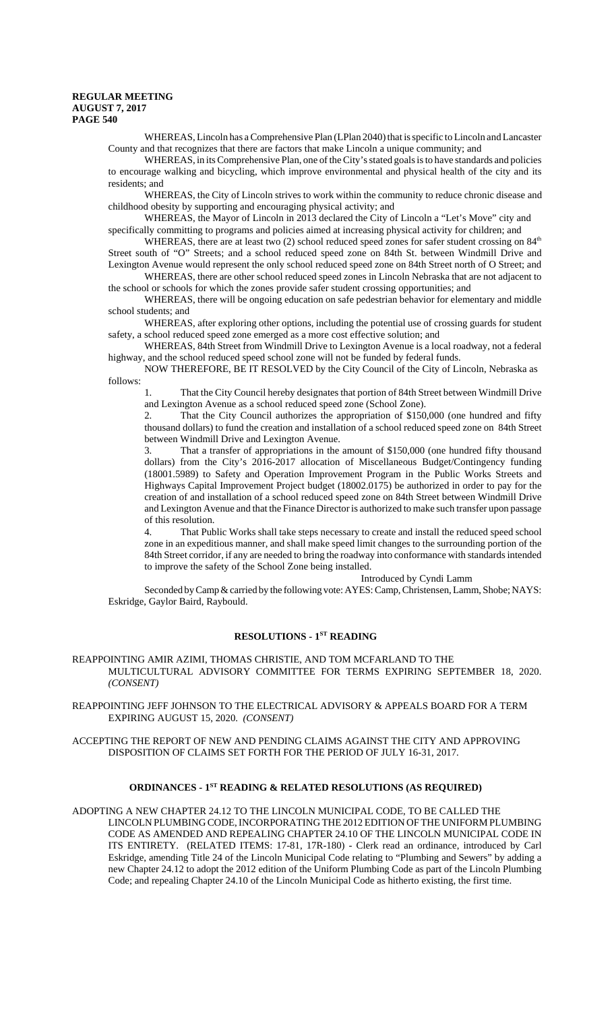WHEREAS, Lincoln has a Comprehensive Plan (LPlan 2040) that is specific to Lincoln and Lancaster County and that recognizes that there are factors that make Lincoln a unique community; and

WHEREAS, in its Comprehensive Plan, one of the City's stated goals is to have standards and policies to encourage walking and bicycling, which improve environmental and physical health of the city and its residents; and

 WHEREAS, the City of Lincoln strives to work within the community to reduce chronic disease and childhood obesity by supporting and encouraging physical activity; and

WHEREAS, the Mayor of Lincoln in 2013 declared the City of Lincoln a "Let's Move" city and specifically committing to programs and policies aimed at increasing physical activity for children; and

WHEREAS, there are at least two (2) school reduced speed zones for safer student crossing on 84<sup>th</sup> Street south of "O" Streets; and a school reduced speed zone on 84th St. between Windmill Drive and Lexington Avenue would represent the only school reduced speed zone on 84th Street north of O Street; and

WHEREAS, there are other school reduced speed zones in Lincoln Nebraska that are not adjacent to the school or schools for which the zones provide safer student crossing opportunities; and

WHEREAS, there will be ongoing education on safe pedestrian behavior for elementary and middle school students; and

WHEREAS, after exploring other options, including the potential use of crossing guards for student safety, a school reduced speed zone emerged as a more cost effective solution; and

WHEREAS, 84th Street from Windmill Drive to Lexington Avenue is a local roadway, not a federal highway, and the school reduced speed school zone will not be funded by federal funds.

NOW THEREFORE, BE IT RESOLVED by the City Council of the City of Lincoln, Nebraska as follows:

1. That the City Council hereby designates that portion of 84th Street between Windmill Drive and Lexington Avenue as a school reduced speed zone (School Zone).

2. That the City Council authorizes the appropriation of \$150,000 (one hundred and fifty thousand dollars) to fund the creation and installation of a school reduced speed zone on 84th Street between Windmill Drive and Lexington Avenue.

That a transfer of appropriations in the amount of \$150,000 (one hundred fifty thousand dollars) from the City's 2016-2017 allocation of Miscellaneous Budget/Contingency funding (18001.5989) to Safety and Operation Improvement Program in the Public Works Streets and Highways Capital Improvement Project budget (18002.0175) be authorized in order to pay for the creation of and installation of a school reduced speed zone on 84th Street between Windmill Drive and Lexington Avenue and that the Finance Director is authorized to make such transfer upon passage of this resolution.

4. That Public Works shall take steps necessary to create and install the reduced speed school zone in an expeditious manner, and shall make speed limit changes to the surrounding portion of the 84th Street corridor, if any are needed to bring the roadway into conformance with standards intended to improve the safety of the School Zone being installed.

Introduced by Cyndi Lamm

Seconded by Camp & carried by the following vote: AYES: Camp, Christensen, Lamm, Shobe; NAYS: Eskridge, Gaylor Baird, Raybould.

### **RESOLUTIONS - 1ST READING**

#### REAPPOINTING AMIR AZIMI, THOMAS CHRISTIE, AND TOM MCFARLAND TO THE MULTICULTURAL ADVISORY COMMITTEE FOR TERMS EXPIRING SEPTEMBER 18, 2020. *(CONSENT)*

REAPPOINTING JEFF JOHNSON TO THE ELECTRICAL ADVISORY & APPEALS BOARD FOR A TERM EXPIRING AUGUST 15, 2020. *(CONSENT)*

ACCEPTING THE REPORT OF NEW AND PENDING CLAIMS AGAINST THE CITY AND APPROVING DISPOSITION OF CLAIMS SET FORTH FOR THE PERIOD OF JULY 16-31, 2017.

### **ORDINANCES - 1ST READING & RELATED RESOLUTIONS (AS REQUIRED)**

ADOPTING A NEW CHAPTER 24.12 TO THE LINCOLN MUNICIPAL CODE, TO BE CALLED THE LINCOLN PLUMBING CODE, INCORPORATING THE 2012 EDITION OF THE UNIFORM PLUMBING CODE AS AMENDED AND REPEALING CHAPTER 24.10 OF THE LINCOLN MUNICIPAL CODE IN ITS ENTIRETY. (RELATED ITEMS: 17-81, 17R-180) - Clerk read an ordinance, introduced by Carl Eskridge, amending Title 24 of the Lincoln Municipal Code relating to "Plumbing and Sewers" by adding a new Chapter 24.12 to adopt the 2012 edition of the Uniform Plumbing Code as part of the Lincoln Plumbing Code; and repealing Chapter 24.10 of the Lincoln Municipal Code as hitherto existing, the first time.